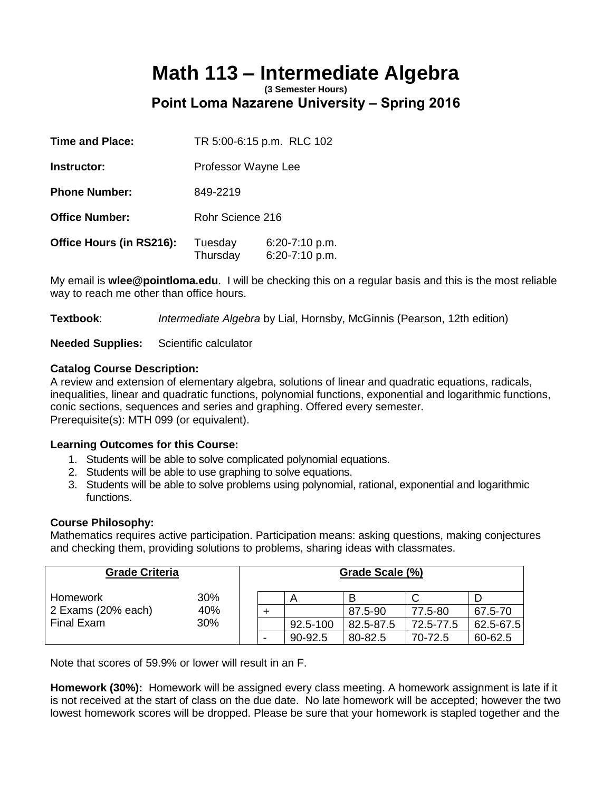# **Math 113 – Intermediate Algebra**

**(3 Semester Hours) Point Loma Nazarene University – Spring 2016** 

| <b>Time and Place:</b>   | TR 5:00-6:15 p.m. RLC 102 |                                  |  |  |
|--------------------------|---------------------------|----------------------------------|--|--|
| Instructor:              | Professor Wayne Lee       |                                  |  |  |
| <b>Phone Number:</b>     | 849-2219                  |                                  |  |  |
| <b>Office Number:</b>    | Rohr Science 216          |                                  |  |  |
| Office Hours (in RS216): | Tuesday<br>Thursday       | 6:20-7:10 p.m.<br>6:20-7:10 p.m. |  |  |

My email is **wlee@pointloma.edu**. I will be checking this on a regular basis and this is the most reliable way to reach me other than office hours.

**Textbook**: *Intermediate Algebra* by Lial, Hornsby, McGinnis (Pearson, 12th edition)

**Needed Supplies:** Scientific calculator

## **Catalog Course Description:**

A review and extension of elementary algebra, solutions of linear and quadratic equations, radicals, inequalities, linear and quadratic functions, polynomial functions, exponential and logarithmic functions, conic sections, sequences and series and graphing. Offered every semester. Prerequisite(s): MTH 099 (or equivalent).

## **Learning Outcomes for this Course:**

- 1. Students will be able to solve complicated polynomial equations.
- 2. Students will be able to use graphing to solve equations.
- 3. Students will be able to solve problems using polynomial, rational, exponential and logarithmic functions.

## **Course Philosophy:**

Mathematics requires active participation. Participation means: asking questions, making conjectures and checking them, providing solutions to problems, sharing ideas with classmates.

| <b>Grade Criteria</b>                        |     | Grade Scale (%) |          |           |           |               |
|----------------------------------------------|-----|-----------------|----------|-----------|-----------|---------------|
| Homework<br>2 Exams (20% each)<br>Final Exam | 30% |                 |          |           |           |               |
|                                              | 40% |                 |          | 87.5-90   | 77.5-80   | 67.5-70       |
|                                              | 30% |                 | 92.5-100 | 82.5-87.5 | 72.5-77.5 | $62.5 - 67.5$ |
|                                              |     |                 | 90-92.5  | 80-82.5   | 70-72.5   | 60-62.5       |

Note that scores of 59.9% or lower will result in an F.

**Homework (30%):** Homework will be assigned every class meeting. A homework assignment is late if it is not received at the start of class on the due date. No late homework will be accepted; however the two lowest homework scores will be dropped. Please be sure that your homework is stapled together and the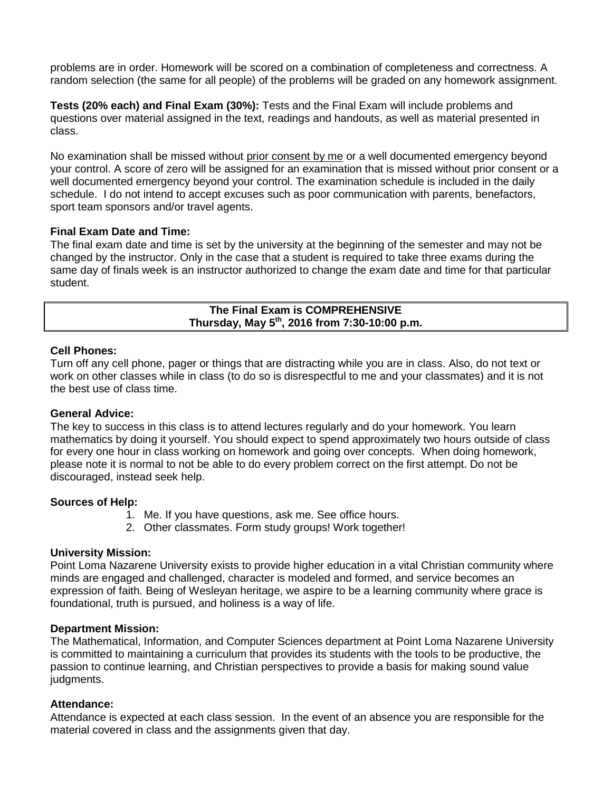problems are in order. Homework will be scored on a combination of completeness and correctness. A random selection (the same for all people) of the problems will be graded on any homework assignment.

**Tests (20% each) and Final Exam (30%):** Tests and the Final Exam will include problems and questions over material assigned in the text, readings and handouts, as well as material presented in class.

No examination shall be missed without prior consent by me or a well documented emergency beyond your control. A score of zero will be assigned for an examination that is missed without prior consent or a well documented emergency beyond your control. The examination schedule is included in the daily schedule. I do not intend to accept excuses such as poor communication with parents, benefactors, sport team sponsors and/or travel agents.

#### **Final Exam Date and Time:**

The final exam date and time is set by the university at the beginning of the semester and may not be changed by the instructor. Only in the case that a student is required to take three exams during the same day of finals week is an instructor authorized to change the exam date and time for that particular student.

> **The Final Exam is COMPREHENSIVE Thursday, May 5th , 2016 from 7:30-10:00 p.m.**

#### **Cell Phones:**

Turn off any cell phone, pager or things that are distracting while you are in class. Also, do not text or work on other classes while in class (to do so is disrespectful to me and your classmates) and it is not the best use of class time.

#### **General Advice:**

The key to success in this class is to attend lectures regularly and do your homework. You learn mathematics by doing it yourself. You should expect to spend approximately two hours outside of class for every one hour in class working on homework and going over concepts. When doing homework, please note it is normal to not be able to do every problem correct on the first attempt. Do not be discouraged, instead seek help.

#### **Sources of Help:**

- 1. Me. If you have questions, ask me. See office hours.
- 2. Other classmates. Form study groups! Work together!

#### **University Mission:**

Point Loma Nazarene University exists to provide higher education in a vital Christian community where minds are engaged and challenged, character is modeled and formed, and service becomes an expression of faith. Being of Wesleyan heritage, we aspire to be a learning community where grace is foundational, truth is pursued, and holiness is a way of life.

#### **Department Mission:**

The Mathematical, Information, and Computer Sciences department at Point Loma Nazarene University is committed to maintaining a curriculum that provides its students with the tools to be productive, the passion to continue learning, and Christian perspectives to provide a basis for making sound value judgments.

#### **Attendance:**

Attendance is expected at each class session. In the event of an absence you are responsible for the material covered in class and the assignments given that day.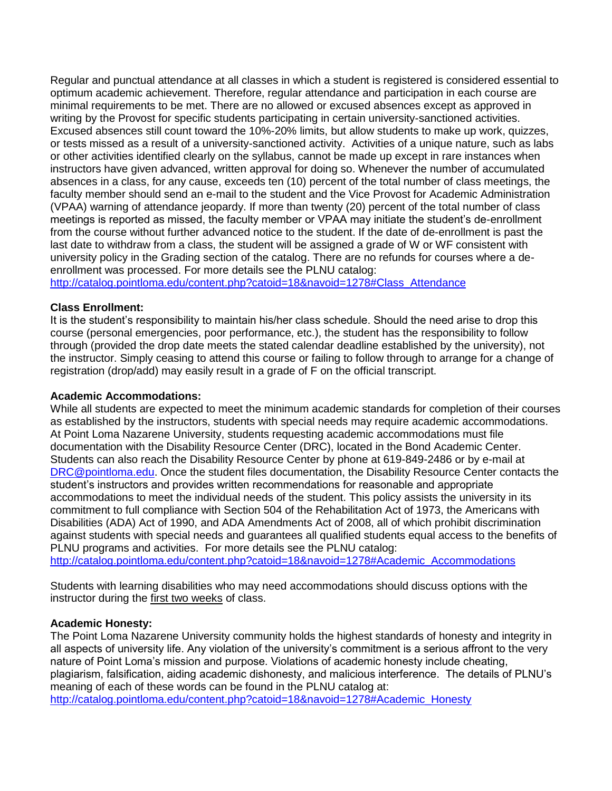Regular and punctual attendance at all classes in which a student is registered is considered essential to optimum academic achievement. Therefore, regular attendance and participation in each course are minimal requirements to be met. There are no allowed or excused absences except as approved in writing by the Provost for specific students participating in certain university-sanctioned activities. Excused absences still count toward the 10%-20% limits, but allow students to make up work, quizzes, or tests missed as a result of a university-sanctioned activity. Activities of a unique nature, such as labs or other activities identified clearly on the syllabus, cannot be made up except in rare instances when instructors have given advanced, written approval for doing so. Whenever the number of accumulated absences in a class, for any cause, exceeds ten (10) percent of the total number of class meetings, the faculty member should send an e-mail to the student and the Vice Provost for Academic Administration (VPAA) warning of attendance jeopardy. If more than twenty (20) percent of the total number of class meetings is reported as missed, the faculty member or VPAA may initiate the student's de-enrollment from the course without further advanced notice to the student. If the date of de-enrollment is past the last date to withdraw from a class, the student will be assigned a grade of W or WF consistent with university policy in the Grading section of the catalog. There are no refunds for courses where a deenrollment was processed. For more details see the PLNU catalog: [http://catalog.pointloma.edu/content.php?catoid=18&navoid=1278#Class\\_Attendance](http://catalog.pointloma.edu/content.php?catoid=18&navoid=1278#Class_Attendance)

# **Class Enrollment:**

It is the student's responsibility to maintain his/her class schedule. Should the need arise to drop this course (personal emergencies, poor performance, etc.), the student has the responsibility to follow through (provided the drop date meets the stated calendar deadline established by the university), not the instructor. Simply ceasing to attend this course or failing to follow through to arrange for a change of registration (drop/add) may easily result in a grade of F on the official transcript.

## **Academic Accommodations:**

While all students are expected to meet the minimum academic standards for completion of their courses as established by the instructors, students with special needs may require academic accommodations. At Point Loma Nazarene University, students requesting academic accommodations must file documentation with the Disability Resource Center (DRC), located in the Bond Academic Center. Students can also reach the Disability Resource Center by phone at 619-849-2486 or by e-mail at [DRC@pointloma.edu.](mailto:DRC@pointloma.edu) Once the student files documentation, the Disability Resource Center contacts the student's instructors and provides written recommendations for reasonable and appropriate accommodations to meet the individual needs of the student. This policy assists the university in its commitment to full compliance with Section 504 of the Rehabilitation Act of 1973, the Americans with Disabilities (ADA) Act of 1990, and ADA Amendments Act of 2008, all of which prohibit discrimination against students with special needs and guarantees all qualified students equal access to the benefits of PLNU programs and activities. For more details see the PLNU catalog:

[http://catalog.pointloma.edu/content.php?catoid=18&navoid=1278#Academic\\_Accommodations](http://catalog.pointloma.edu/content.php?catoid=18&navoid=1278#Academic_Accommodations) 

Students with learning disabilities who may need accommodations should discuss options with the instructor during the first two weeks of class.

## **Academic Honesty:**

The Point Loma Nazarene University community holds the highest standards of honesty and integrity in all aspects of university life. Any violation of the university's commitment is a serious affront to the very nature of Point Loma's mission and purpose. Violations of academic honesty include cheating, plagiarism, falsification, aiding academic dishonesty, and malicious interference. The details of PLNU's meaning of each of these words can be found in the PLNU catalog at: [http://catalog.pointloma.edu/content.php?catoid=18&navoid=1278#Academic\\_Honesty](http://catalog.pointloma.edu/content.php?catoid=18&navoid=1278#Academic_Honesty)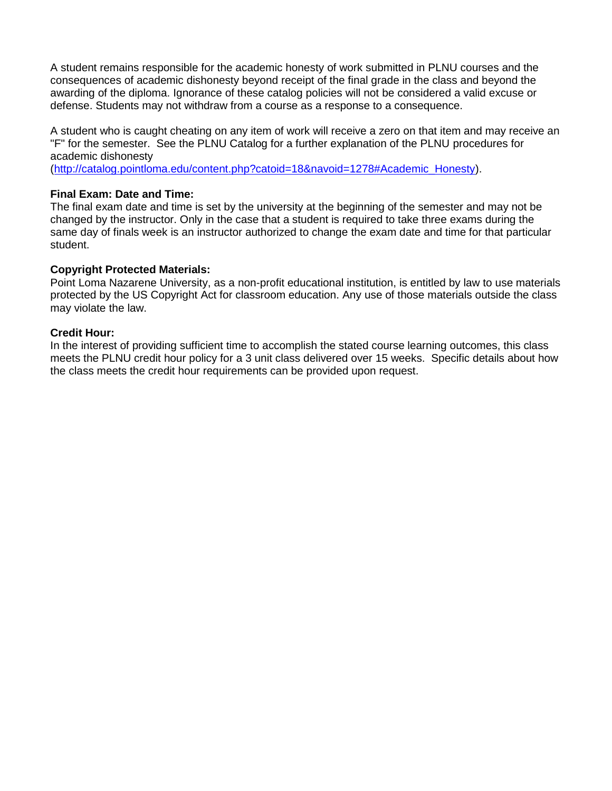A student remains responsible for the academic honesty of work submitted in PLNU courses and the consequences of academic dishonesty beyond receipt of the final grade in the class and beyond the awarding of the diploma. Ignorance of these catalog policies will not be considered a valid excuse or defense. Students may not withdraw from a course as a response to a consequence.

A student who is caught cheating on any item of work will receive a zero on that item and may receive an "F" for the semester. See the PLNU Catalog for a further explanation of the PLNU procedures for academic dishonesty

[\(http://catalog.pointloma.edu/content.php?catoid=18&navoid=1278#Academic\\_Honesty\)](http://catalog.pointloma.edu/content.php?catoid=18&navoid=1278#Academic_Honesty).

## **Final Exam: Date and Time:**

The final exam date and time is set by the university at the beginning of the semester and may not be changed by the instructor. Only in the case that a student is required to take three exams during the same day of finals week is an instructor authorized to change the exam date and time for that particular student.

# **Copyright Protected Materials:**

Point Loma Nazarene University, as a non-profit educational institution, is entitled by law to use materials protected by the US Copyright Act for classroom education. Any use of those materials outside the class may violate the law.

## **Credit Hour:**

In the interest of providing sufficient time to accomplish the stated course learning outcomes, this class meets the PLNU credit hour policy for a 3 unit class delivered over 15 weeks. Specific details about how the class meets the credit hour requirements can be provided upon request.